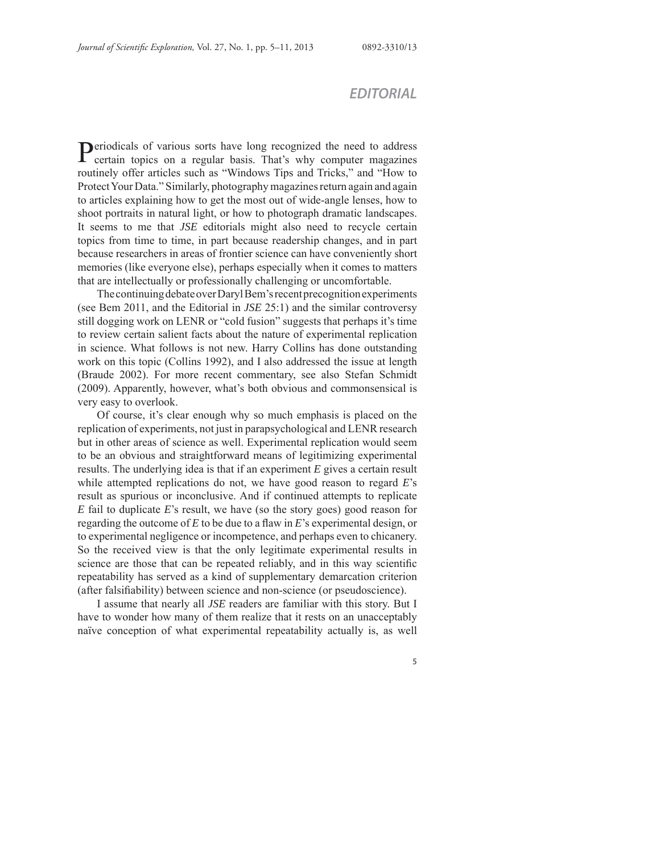## *EDITORIAL*

Periodicals of various sorts have long recognized the need to address certain topics on a regular basis. That's why computer magazines routinely offer articles such as "Windows Tips and Tricks," and "How to Protect Your Data." Similarly, photography magazines return again and again to articles explaining how to get the most out of wide-angle lenses, how to shoot portraits in natural light, or how to photograph dramatic landscapes. It seems to me that *JSE* editorials might also need to recycle certain topics from time to time, in part because readership changes, and in part because researchers in areas of frontier science can have conveniently short memories (like everyone else), perhaps especially when it comes to matters that are intellectually or professionally challenging or uncomfortable.

The continuing debate over Daryl Bem's recent precognition experiments (see Bem 2011, and the Editorial in *JSE* 25:1) and the similar controversy still dogging work on LENR or "cold fusion" suggests that perhaps it's time to review certain salient facts about the nature of experimental replication in science. What follows is not new. Harry Collins has done outstanding work on this topic (Collins 1992), and I also addressed the issue at length (Braude 2002). For more recent commentary, see also Stefan Schmidt (2009). Apparently, however, what's both obvious and commonsensical is very easy to overlook.

Of course, it's clear enough why so much emphasis is placed on the replication of experiments, not just in parapsychological and LENR research but in other areas of science as well. Experimental replication would seem to be an obvious and straightforward means of legitimizing experimental results. The underlying idea is that if an experiment *E* gives a certain result while attempted replications do not, we have good reason to regard *E*'s result as spurious or inconclusive. And if continued attempts to replicate *E* fail to duplicate *E*'s result, we have (so the story goes) good reason for regarding the outcome of  $E$  to be due to a flaw in  $E$ 's experimental design, or to experimental negligence or incompetence, and perhaps even to chicanery. So the received view is that the only legitimate experimental results in science are those that can be repeated reliably, and in this way scientific repeatability has served as a kind of supplementary demarcation criterion (after falsifiability) between science and non-science (or pseudoscience).

I assume that nearly all *JSE* readers are familiar with this story. But I have to wonder how many of them realize that it rests on an unacceptably naïve conception of what experimental repeatability actually is, as well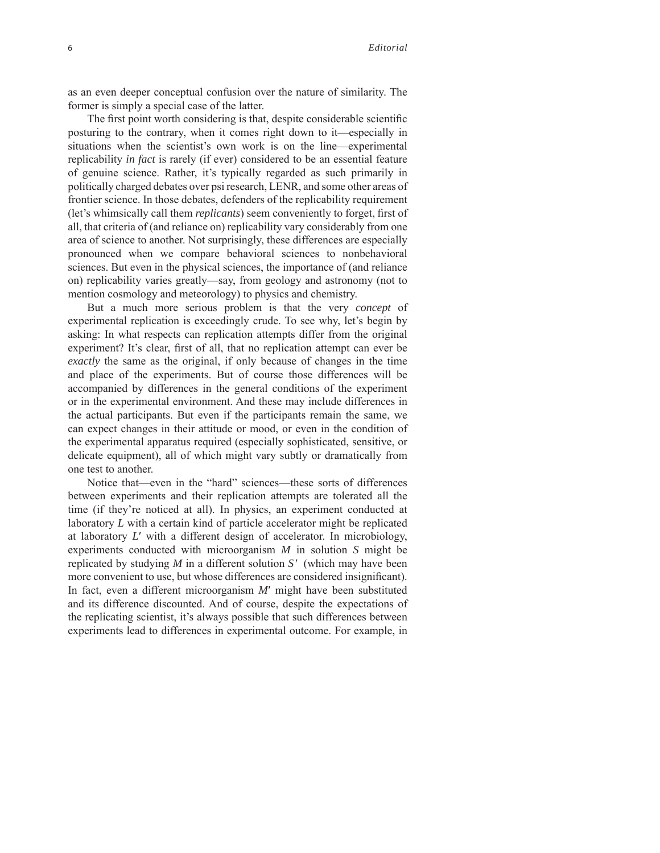as an even deeper conceptual confusion over the nature of similarity. The former is simply a special case of the latter.

The first point worth considering is that, despite considerable scientific posturing to the contrary, when it comes right down to it—especially in situations when the scientist's own work is on the line—experimental replicability *in fact* is rarely (if ever) considered to be an essential feature of genuine science. Rather, it's typically regarded as such primarily in politically charged debates over psi research, LENR, and some other areas of frontier science. In those debates, defenders of the replicability requirement (let's whimsically call them *replicants*) seem conveniently to forget, first of all, that criteria of (and reliance on) replicability vary considerably from one area of science to another. Not surprisingly, these differences are especially pronounced when we compare behavioral sciences to nonbehavioral sciences. But even in the physical sciences, the importance of (and reliance on) replicability varies greatly—say, from geology and astronomy (not to mention cosmology and meteorology) to physics and chemistry.

But a much more serious problem is that the very *concept* of experimental replication is exceedingly crude. To see why, let's begin by asking: In what respects can replication attempts differ from the original experiment? It's clear, first of all, that no replication attempt can ever be *exactly* the same as the original, if only because of changes in the time and place of the experiments. But of course those differences will be accompanied by differences in the general conditions of the experiment or in the experimental environment. And these may include differences in the actual participants. But even if the participants remain the same, we can expect changes in their attitude or mood, or even in the condition of the experimental apparatus required (especially sophisticated, sensitive, or delicate equipment), all of which might vary subtly or dramatically from one test to another.

Notice that—even in the "hard" sciences—these sorts of differences between experiments and their replication attempts are tolerated all the time (if they're noticed at all). In physics, an experiment conducted at laboratory *L* with a certain kind of particle accelerator might be replicated at laboratory *L*′ with a different design of accelerator. In microbiology, experiments conducted with microorganism *M* in solution *S* might be replicated by studying *M* in a different solution *S*′ (which may have been more convenient to use, but whose differences are considered insignificant). In fact, even a different microorganism *M*′ might have been substituted and its difference discounted. And of course, despite the expectations of the replicating scientist, it's always possible that such differences between experiments lead to differences in experimental outcome. For example, in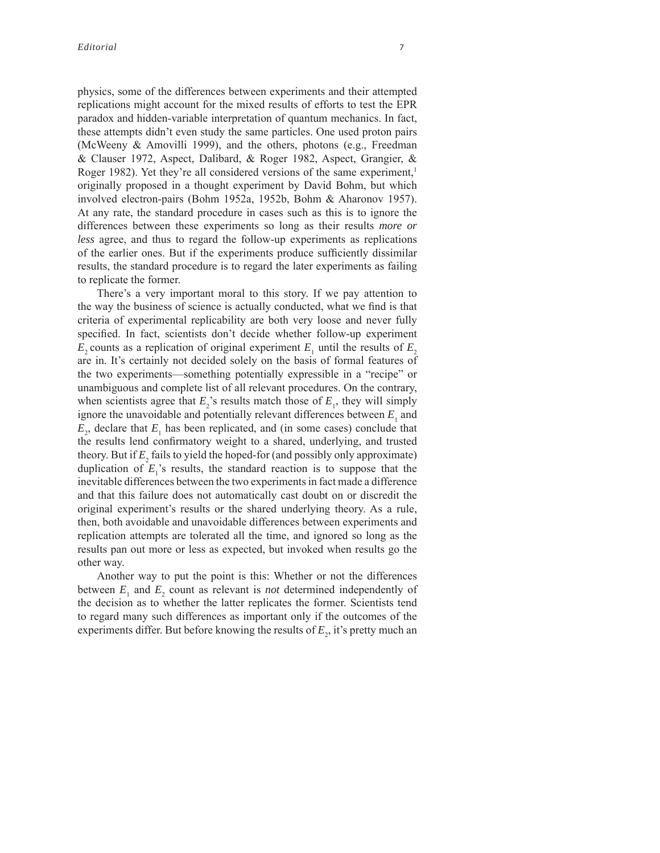physics, some of the differences between experiments and their attempted replications might account for the mixed results of efforts to test the EPR paradox and hidden-variable interpretation of quantum mechanics. In fact, these attempts didn't even study the same particles. One used proton pairs (McWeeny & Amovilli 1999), and the others, photons (e.g., Freedman & Clauser 1972, Aspect, Dalibard, & Roger 1982, Aspect, Grangier, & Roger 1982). Yet they're all considered versions of the same experiment,<sup>1</sup> originally proposed in a thought experiment by David Bohm, but which involved electron-pairs (Bohm 1952a, 1952b, Bohm & Aharonov 1957). At any rate, the standard procedure in cases such as this is to ignore the differences between these experiments so long as their results *more or less* agree, and thus to regard the follow-up experiments as replications of the earlier ones. But if the experiments produce sufficiently dissimilar results, the standard procedure is to regard the later experiments as failing to replicate the former.

There's a very important moral to this story. If we pay attention to the way the business of science is actually conducted, what we find is that criteria of experimental replicability are both very loose and never fully specified. In fact, scientists don't decide whether follow-up experiment  $E_2$  counts as a replication of original experiment  $E_1$  until the results of  $E_2$ are in. It's certainly not decided solely on the basis of formal features of the two experiments—something potentially expressible in a "recipe" or unambiguous and complete list of all relevant procedures. On the contrary, when scientists agree that  $E_2$ 's results match those of  $E_1$ , they will simply ignore the unavoidable and potentially relevant differences between  $E_1$  and  $E_2$ , declare that  $E_1$  has been replicated, and (in some cases) conclude that the results lend confirmatory weight to a shared, underlying, and trusted theory. But if  $E_2$  fails to yield the hoped-for (and possibly only approximate) duplication of  $E_1$ 's results, the standard reaction is to suppose that the inevitable differences between the two experiments in fact made a difference and that this failure does not automatically cast doubt on or discredit the original experiment's results or the shared underlying theory. As a rule, then, both avoidable and unavoidable differences between experiments and replication attempts are tolerated all the time, and ignored so long as the results pan out more or less as expected, but invoked when results go the other way.

Another way to put the point is this: Whether or not the differences between  $E_1$  and  $E_2$  count as relevant is *not* determined independently of the decision as to whether the latter replicates the former. Scientists tend to regard many such differences as important only if the outcomes of the experiments differ. But before knowing the results of  $E<sub>2</sub>$ , it's pretty much an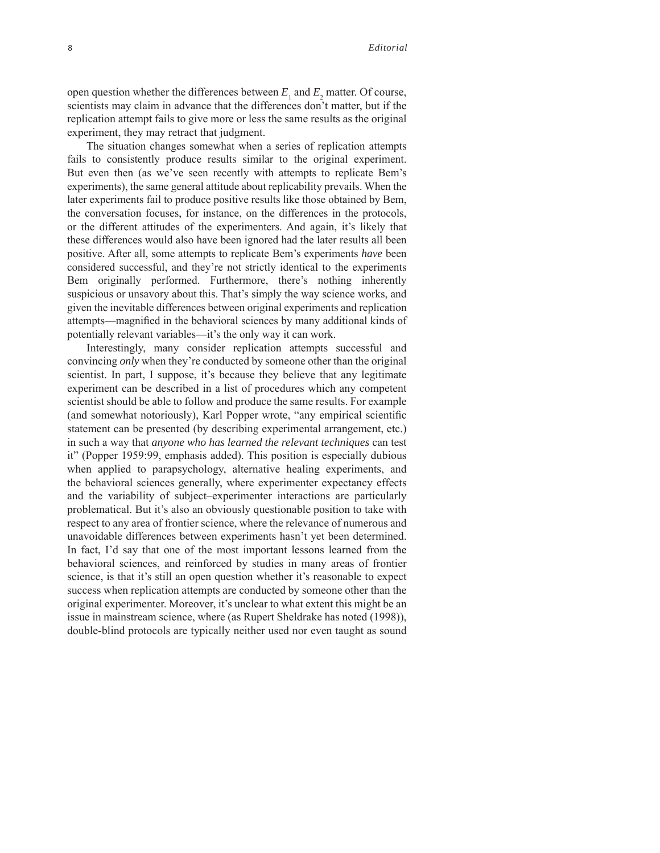open question whether the differences between  $E_1$  and  $E_2$  matter. Of course, scientists may claim in advance that the differences don't matter, but if the replication attempt fails to give more or less the same results as the original experiment, they may retract that judgment.

The situation changes somewhat when a series of replication attempts fails to consistently produce results similar to the original experiment. But even then (as we've seen recently with attempts to replicate Bem's experiments), the same general attitude about replicability prevails. When the later experiments fail to produce positive results like those obtained by Bem, the conversation focuses, for instance, on the differences in the protocols, or the different attitudes of the experimenters. And again, it's likely that these differences would also have been ignored had the later results all been positive. After all, some attempts to replicate Bem's experiments *have* been considered successful, and they're not strictly identical to the experiments Bem originally performed. Furthermore, there's nothing inherently suspicious or unsavory about this. That's simply the way science works, and given the inevitable differences between original experiments and replication attempts—magnified in the behavioral sciences by many additional kinds of potentially relevant variables—it's the only way it can work.

Interestingly, many consider replication attempts successful and convincing *only* when they're conducted by someone other than the original scientist. In part, I suppose, it's because they believe that any legitimate experiment can be described in a list of procedures which any competent scientist should be able to follow and produce the same results. For example (and somewhat notoriously), Karl Popper wrote, "any empirical scientific statement can be presented (by describing experimental arrangement, etc.) in such a way that *anyone who has learned the relevant techniques* can test it" (Popper 1959:99, emphasis added). This position is especially dubious when applied to parapsychology, alternative healing experiments, and the behavioral sciences generally, where experimenter expectancy effects and the variability of subject–experimenter interactions are particularly problematical. But it's also an obviously questionable position to take with respect to any area of frontier science, where the relevance of numerous and unavoidable differences between experiments hasn't yet been determined. In fact, I'd say that one of the most important lessons learned from the behavioral sciences, and reinforced by studies in many areas of frontier science, is that it's still an open question whether it's reasonable to expect success when replication attempts are conducted by someone other than the original experimenter. Moreover, it's unclear to what extent this might be an issue in mainstream science, where (as Rupert Sheldrake has noted (1998)), double-blind protocols are typically neither used nor even taught as sound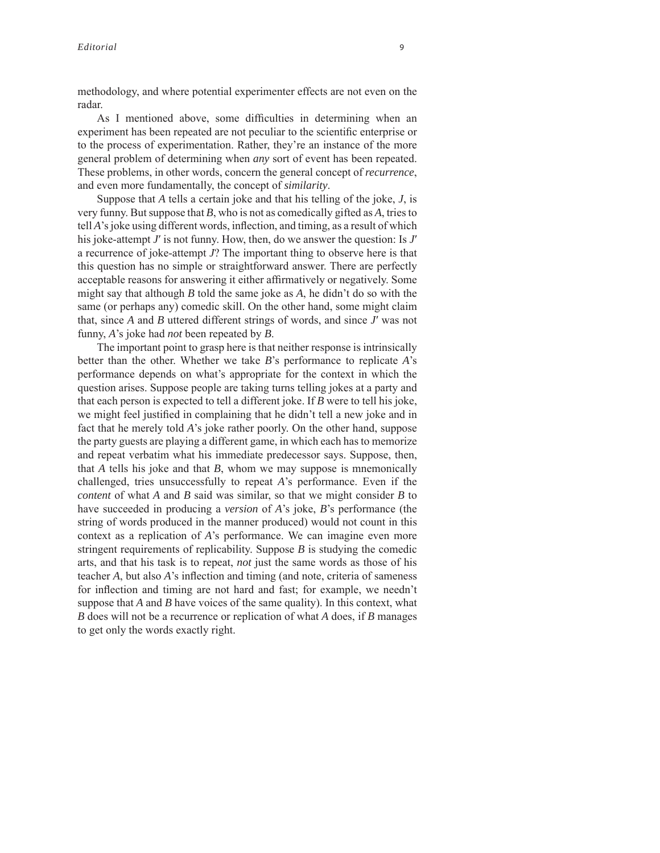methodology, and where potential experimenter effects are not even on the radar.

As I mentioned above, some difficulties in determining when an experiment has been repeated are not peculiar to the scientific enterprise or to the process of experimentation. Rather, they're an instance of the more general problem of determining when *any* sort of event has been repeated. These problems, in other words, concern the general concept of *recurrence*, and even more fundamentally, the concept of *similarity*.

Suppose that *A* tells a certain joke and that his telling of the joke, *J*, is very funny. But suppose that *B*, who is not as comedically gifted as *A*, tries to tell *A*'s joke using different words, inflection, and timing, as a result of which his joke-attempt *J*′ is not funny. How, then, do we answer the question: Is *J*′ a recurrence of joke-attempt *J*? The important thing to observe here is that this question has no simple or straightforward answer. There are perfectly acceptable reasons for answering it either affirmatively or negatively. Some might say that although *B* told the same joke as *A*, he didn't do so with the same (or perhaps any) comedic skill. On the other hand, some might claim that, since *A* and *B* uttered different strings of words, and since *J*′ was not funny, *A*'s joke had *not* been repeated by *B*.

The important point to grasp here is that neither response is intrinsically better than the other. Whether we take *B*'s performance to replicate *A*'s performance depends on what's appropriate for the context in which the question arises. Suppose people are taking turns telling jokes at a party and that each person is expected to tell a different joke. If *B* were to tell his joke, we might feel justified in complaining that he didn't tell a new joke and in fact that he merely told *A*'s joke rather poorly. On the other hand, suppose the party guests are playing a different game, in which each has to memorize and repeat verbatim what his immediate predecessor says. Suppose, then, that *A* tells his joke and that *B*, whom we may suppose is mnemonically challenged, tries unsuccessfully to repeat *A*'s performance. Even if the *content* of what *A* and *B* said was similar, so that we might consider *B* to have succeeded in producing a *version* of *A*'s joke, *B*'s performance (the string of words produced in the manner produced) would not count in this context as a replication of *A*'s performance. We can imagine even more stringent requirements of replicability. Suppose *B* is studying the comedic arts, and that his task is to repeat, *not* just the same words as those of his teacher *A*, but also *A*'s inflection and timing (and note, criteria of sameness for inflection and timing are not hard and fast; for example, we needn't suppose that *A* and *B* have voices of the same quality). In this context, what *B* does will not be a recurrence or replication of what *A* does, if *B* manages to get only the words exactly right.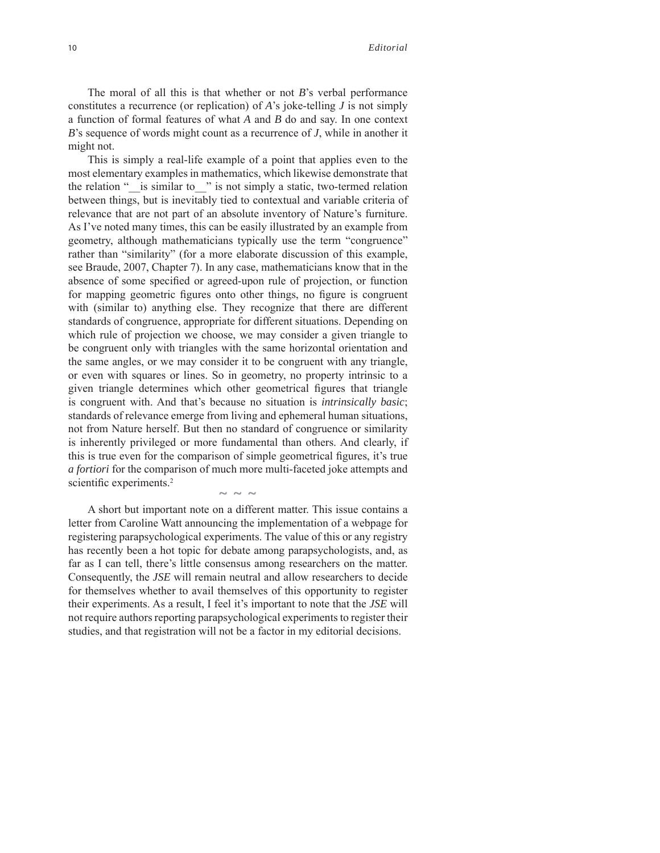The moral of all this is that whether or not *B*'s verbal performance constitutes a recurrence (or replication) of *A*'s joke-telling *J* is not simply a function of formal features of what *A* and *B* do and say. In one context *B*'s sequence of words might count as a recurrence of *J*, while in another it might not.

This is simply a real-life example of a point that applies even to the most elementary examples in mathematics, which likewise demonstrate that the relation "\_\_is similar to\_\_" is not simply a static, two-termed relation between things, but is inevitably tied to contextual and variable criteria of relevance that are not part of an absolute inventory of Nature's furniture. As I've noted many times, this can be easily illustrated by an example from geometry, although mathematicians typically use the term "congruence" rather than "similarity" (for a more elaborate discussion of this example, see Braude, 2007, Chapter 7). In any case, mathematicians know that in the absence of some specified or agreed-upon rule of projection, or function for mapping geometric figures onto other things, no figure is congruent with (similar to) anything else. They recognize that there are different standards of congruence, appropriate for different situations. Depending on which rule of projection we choose, we may consider a given triangle to be congruent only with triangles with the same horizontal orientation and the same angles, or we may consider it to be congruent with any triangle, or even with squares or lines. So in geometry, no property intrinsic to a given triangle determines which other geometrical figures that triangle is congruent with. And that's because no situation is *intrinsically basic*; standards of relevance emerge from living and ephemeral human situations, not from Nature herself. But then no standard of congruence or similarity is inherently privileged or more fundamental than others. And clearly, if this is true even for the comparison of simple geometrical figures, it's true *a fortiori* for the comparison of much more multi-faceted joke attempts and scientific experiments. $2$  $\sim$   $\sim$   $\sim$ 

A short but important note on a different matter. This issue contains a letter from Caroline Watt announcing the implementation of a webpage for registering parapsychological experiments. The value of this or any registry has recently been a hot topic for debate among parapsychologists, and, as far as I can tell, there's little consensus among researchers on the matter. Consequently, the *JSE* will remain neutral and allow researchers to decide for themselves whether to avail themselves of this opportunity to register their experiments. As a result, I feel it's important to note that the *JSE* will not require authors reporting parapsychological experiments to register their studies, and that registration will not be a factor in my editorial decisions.